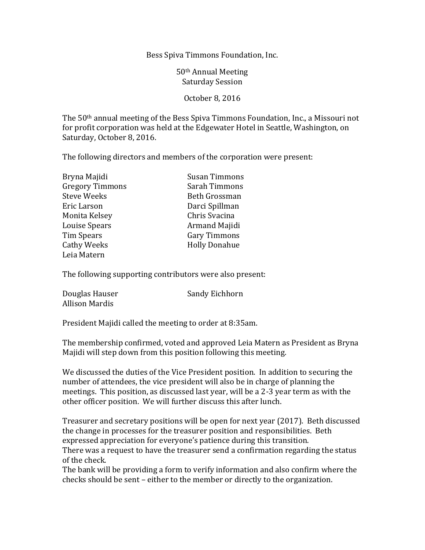Bess Spiva Timmons Foundation, Inc.

50th Annual Meeting Saturday Session

October 8, 2016

The 50th annual meeting of the Bess Spiva Timmons Foundation, Inc., a Missouri not for profit corporation was held at the Edgewater Hotel in Seattle, Washington, on Saturday, October 8, 2016.

The following directors and members of the corporation were present:

| Bryna Majidi           | <b>Susan Timmons</b> |
|------------------------|----------------------|
| <b>Gregory Timmons</b> | Sarah Timmons        |
| <b>Steve Weeks</b>     | Beth Grossman        |
| Eric Larson            | Darci Spillman       |
| Monita Kelsey          | Chris Svacina        |
| Louise Spears          | Armand Majidi        |
| <b>Tim Spears</b>      | <b>Gary Timmons</b>  |
| <b>Cathy Weeks</b>     | <b>Holly Donahue</b> |
| Leja Matern            |                      |

The following supporting contributors were also present:

| Douglas Hauser        | Sandy Eichhorn |
|-----------------------|----------------|
| <b>Allison Mardis</b> |                |

President Majidi called the meeting to order at 8:35am.

The membership confirmed, voted and approved Leia Matern as President as Bryna Majidi will step down from this position following this meeting.

We discussed the duties of the Vice President position. In addition to securing the number of attendees, the vice president will also be in charge of planning the meetings. This position, as discussed last year, will be a 2-3 year term as with the other officer position. We will further discuss this after lunch.

Treasurer and secretary positions will be open for next year (2017). Beth discussed the change in processes for the treasurer position and responsibilities. Beth expressed appreciation for everyone's patience during this transition. There was a request to have the treasurer send a confirmation regarding the status of the check.

The bank will be providing a form to verify information and also confirm where the checks should be sent – either to the member or directly to the organization.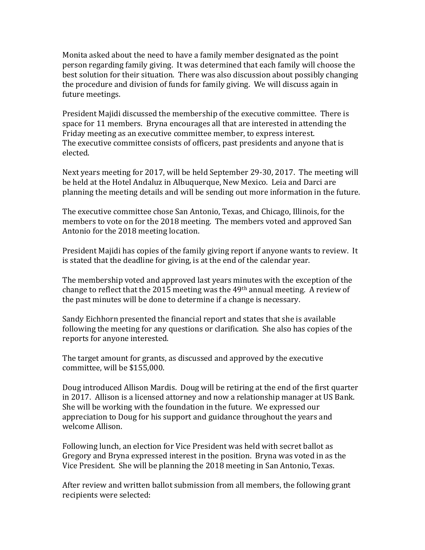Monita asked about the need to have a family member designated as the point person regarding family giving. It was determined that each family will choose the best solution for their situation. There was also discussion about possibly changing the procedure and division of funds for family giving. We will discuss again in future meetings.

President Majidi discussed the membership of the executive committee. There is space for 11 members. Bryna encourages all that are interested in attending the Friday meeting as an executive committee member, to express interest. The executive committee consists of officers, past presidents and anyone that is elected.

Next years meeting for 2017, will be held September 29-30, 2017. The meeting will be held at the Hotel Andaluz in Albuquerque, New Mexico. Leia and Darci are planning the meeting details and will be sending out more information in the future.

The executive committee chose San Antonio, Texas, and Chicago, Illinois, for the members to vote on for the 2018 meeting. The members voted and approved San Antonio for the 2018 meeting location.

President Majidi has copies of the family giving report if anyone wants to review. It is stated that the deadline for giving, is at the end of the calendar year.

The membership voted and approved last years minutes with the exception of the change to reflect that the 2015 meeting was the 49th annual meeting. A review of the past minutes will be done to determine if a change is necessary.

Sandy Eichhorn presented the financial report and states that she is available following the meeting for any questions or clarification. She also has copies of the reports for anyone interested.

The target amount for grants, as discussed and approved by the executive committee, will be \$155,000.

Doug introduced Allison Mardis. Doug will be retiring at the end of the first quarter in 2017. Allison is a licensed attorney and now a relationship manager at US Bank. She will be working with the foundation in the future. We expressed our appreciation to Doug for his support and guidance throughout the years and welcome Allison.

Following lunch, an election for Vice President was held with secret ballot as Gregory and Bryna expressed interest in the position. Bryna was voted in as the Vice President. She will be planning the 2018 meeting in San Antonio, Texas.

After review and written ballot submission from all members, the following grant recipients were selected: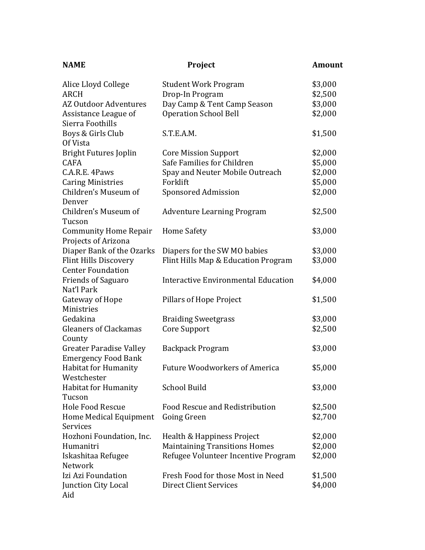| <b>NAME</b>                                                  | <b>Project</b>                             | <b>Amount</b> |
|--------------------------------------------------------------|--------------------------------------------|---------------|
| Alice Lloyd College                                          | <b>Student Work Program</b>                | \$3,000       |
| <b>ARCH</b>                                                  | Drop-In Program                            | \$2,500       |
| AZ Outdoor Adventures                                        | Day Camp & Tent Camp Season                | \$3,000       |
| Assistance League of<br>Sierra Foothills                     | <b>Operation School Bell</b>               | \$2,000       |
| Boys & Girls Club<br>Of Vista                                | S.T.E.A.M.                                 | \$1,500       |
| <b>Bright Futures Joplin</b>                                 | <b>Core Mission Support</b>                | \$2,000       |
| <b>CAFA</b>                                                  | Safe Families for Children                 | \$5,000       |
| C.A.R.E. 4Paws                                               | Spay and Neuter Mobile Outreach            | \$2,000       |
| <b>Caring Ministries</b>                                     | Forklift                                   | \$5,000       |
| Children's Museum of<br>Denver                               | <b>Sponsored Admission</b>                 | \$2,000       |
| Children's Museum of<br>Tucson                               | <b>Adventure Learning Program</b>          | \$2,500       |
| <b>Community Home Repair</b><br>Projects of Arizona          | <b>Home Safety</b>                         | \$3,000       |
| Diaper Bank of the Ozarks                                    | Diapers for the SW MO babies               | \$3,000       |
| <b>Flint Hills Discovery</b><br><b>Center Foundation</b>     | Flint Hills Map & Education Program        | \$3,000       |
| <b>Friends of Saguaro</b><br>Nat'l Park                      | <b>Interactive Environmental Education</b> | \$4,000       |
| Gateway of Hope<br>Ministries                                | Pillars of Hope Project                    | \$1,500       |
| Gedakina                                                     | <b>Braiding Sweetgrass</b>                 | \$3,000       |
| <b>Gleaners of Clackamas</b><br>County                       | Core Support                               | \$2,500       |
| <b>Greater Paradise Valley</b><br><b>Emergency Food Bank</b> | <b>Backpack Program</b>                    | \$3,000       |
| <b>Habitat for Humanity</b><br>Westchester                   | <b>Future Woodworkers of America</b>       | \$5,000       |
| Habitat for Humanity<br>Tucson                               | <b>School Build</b>                        | \$3,000       |
| <b>Hole Food Rescue</b>                                      | Food Rescue and Redistribution             | \$2,500       |
| Home Medical Equipment<br>Services                           | Going Green                                | \$2,700       |
| Hozhoni Foundation, Inc.                                     | Health & Happiness Project                 | \$2,000       |
| Humanitri                                                    | <b>Maintaining Transitions Homes</b>       | \$2,000       |
| Iskashitaa Refugee<br>Network                                | Refugee Volunteer Incentive Program        | \$2,000       |
| Izi Azi Foundation                                           | Fresh Food for those Most in Need          | \$1,500       |
| Junction City Local<br>Aid                                   | <b>Direct Client Services</b>              | \$4,000       |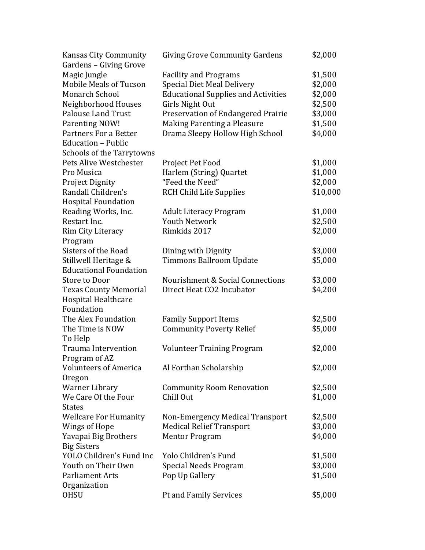| <b>Kansas City Community</b><br>Gardens - Giving Grove | <b>Giving Grove Community Gardens</b>      | \$2,000  |
|--------------------------------------------------------|--------------------------------------------|----------|
| Magic Jungle                                           | <b>Facility and Programs</b>               | \$1,500  |
| <b>Mobile Meals of Tucson</b>                          | <b>Special Diet Meal Delivery</b>          | \$2,000  |
| <b>Monarch School</b>                                  | <b>Educational Supplies and Activities</b> | \$2,000  |
| Neighborhood Houses                                    | Girls Night Out                            | \$2,500  |
| <b>Palouse Land Trust</b>                              | Preservation of Endangered Prairie         | \$3,000  |
| Parenting NOW!                                         | Making Parenting a Pleasure                | \$1,500  |
| <b>Partners For a Better</b>                           | Drama Sleepy Hollow High School            | \$4,000  |
| Education - Public                                     |                                            |          |
| <b>Schools of the Tarrytowns</b>                       |                                            |          |
| Pets Alive Westchester                                 | Project Pet Food                           | \$1,000  |
| Pro Musica                                             | Harlem (String) Quartet                    | \$1,000  |
| <b>Project Dignity</b>                                 | "Feed the Need"                            | \$2,000  |
| Randall Children's                                     | <b>RCH Child Life Supplies</b>             | \$10,000 |
| <b>Hospital Foundation</b>                             |                                            |          |
| Reading Works, Inc.                                    | <b>Adult Literacy Program</b>              | \$1,000  |
| Restart Inc.                                           | <b>Youth Network</b>                       | \$2,500  |
| Rim City Literacy                                      | Rimkids 2017                               | \$2,000  |
| Program                                                |                                            |          |
| Sisters of the Road                                    | Dining with Dignity                        | \$3,000  |
| Stillwell Heritage &                                   | <b>Timmons Ballroom Update</b>             | \$5,000  |
| <b>Educational Foundation</b>                          |                                            |          |
| <b>Store to Door</b>                                   | Nourishment & Social Connections           | \$3,000  |
| <b>Texas County Memorial</b>                           | Direct Heat CO2 Incubator                  | \$4,200  |
| <b>Hospital Healthcare</b>                             |                                            |          |
| Foundation                                             |                                            |          |
| The Alex Foundation                                    | <b>Family Support Items</b>                | \$2,500  |
| The Time is NOW                                        | <b>Community Poverty Relief</b>            | \$5,000  |
| To Help                                                |                                            |          |
| <b>Trauma Intervention</b>                             | <b>Volunteer Training Program</b>          | \$2,000  |
| Program of AZ                                          |                                            |          |
| <b>Volunteers of America</b>                           | Al Forthan Scholarship                     | \$2,000  |
| Oregon                                                 |                                            |          |
| <b>Warner Library</b>                                  | <b>Community Room Renovation</b>           | \$2,500  |
| We Care Of the Four                                    | Chill Out                                  | \$1,000  |
| States                                                 |                                            |          |
| <b>Wellcare For Humanity</b>                           | Non-Emergency Medical Transport            | \$2,500  |
| Wings of Hope                                          | <b>Medical Relief Transport</b>            | \$3,000  |
| Yavapai Big Brothers                                   | <b>Mentor Program</b>                      | \$4,000  |
| <b>Big Sisters</b>                                     |                                            |          |
| YOLO Children's Fund Inc                               | Yolo Children's Fund                       | \$1,500  |
| Youth on Their Own                                     | Special Needs Program                      | \$3,000  |
| Parliament Arts                                        | Pop Up Gallery                             | \$1,500  |
| Organization                                           |                                            |          |
| <b>OHSU</b>                                            | Pt and Family Services                     | \$5,000  |
|                                                        |                                            |          |